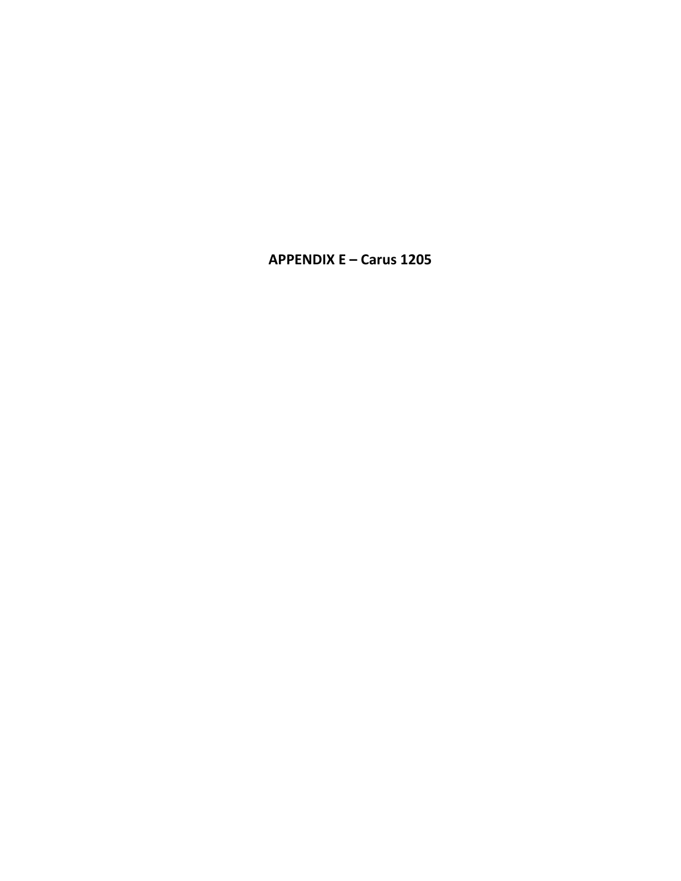# **APPENDIX E - Carus 1205**